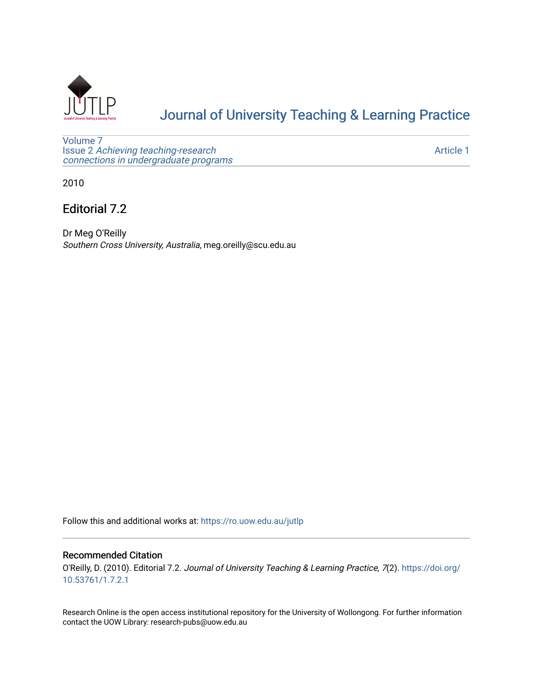

# [Journal of University Teaching & Learning Practice](https://ro.uow.edu.au/jutlp)

[Volume 7](https://ro.uow.edu.au/jutlp/vol7) Issue 2 [Achieving teaching-research](https://ro.uow.edu.au/jutlp/vol7/iss2)  [connections in undergraduate programs](https://ro.uow.edu.au/jutlp/vol7/iss2)

[Article 1](https://ro.uow.edu.au/jutlp/vol7/iss2/1) 

2010

Editorial 7.2

Dr Meg O'Reilly Southern Cross University, Australia, meg.oreilly@scu.edu.au

Follow this and additional works at: [https://ro.uow.edu.au/jutlp](https://ro.uow.edu.au/jutlp?utm_source=ro.uow.edu.au%2Fjutlp%2Fvol7%2Fiss2%2F1&utm_medium=PDF&utm_campaign=PDFCoverPages) 

#### Recommended Citation

O'Reilly, D. (2010). Editorial 7.2. Journal of University Teaching & Learning Practice, 7(2). [https://doi.org/](https://doi.org/10.53761/1.7.2.1) [10.53761/1.7.2.1](https://doi.org/10.53761/1.7.2.1)

Research Online is the open access institutional repository for the University of Wollongong. For further information contact the UOW Library: research-pubs@uow.edu.au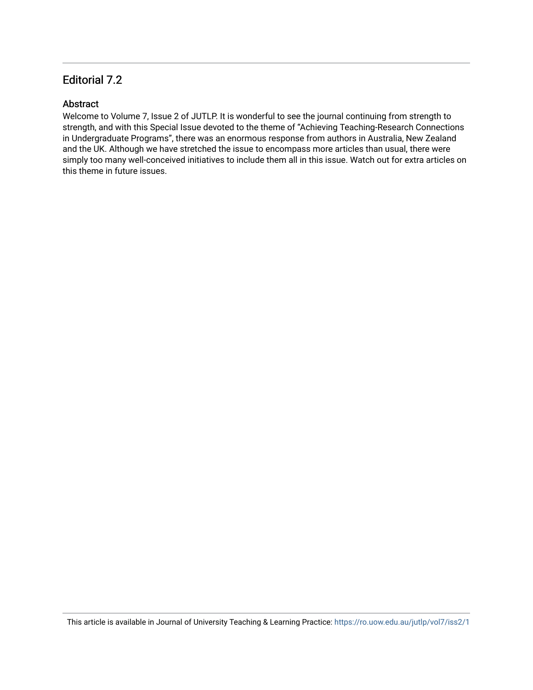### Editorial 7.2

### **Abstract**

Welcome to Volume 7, Issue 2 of JUTLP. It is wonderful to see the journal continuing from strength to strength, and with this Special Issue devoted to the theme of "Achieving Teaching-Research Connections in Undergraduate Programs", there was an enormous response from authors in Australia, New Zealand and the UK. Although we have stretched the issue to encompass more articles than usual, there were simply too many well-conceived initiatives to include them all in this issue. Watch out for extra articles on this theme in future issues.

This article is available in Journal of University Teaching & Learning Practice:<https://ro.uow.edu.au/jutlp/vol7/iss2/1>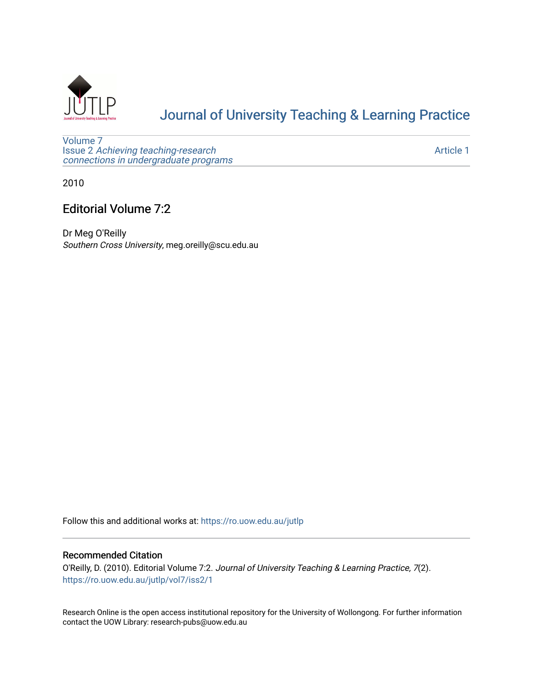

# [Journal of University Teaching & Learning Practice](https://ro.uow.edu.au/jutlp)

[Volume 7](https://ro.uow.edu.au/jutlp/vol7) Issue 2 [Achieving teaching-research](https://ro.uow.edu.au/jutlp/vol7/iss2)  [connections in undergraduate programs](https://ro.uow.edu.au/jutlp/vol7/iss2)

[Article 1](https://ro.uow.edu.au/jutlp/vol7/iss2/1) 

2010

## Editorial Volume 7:2

Dr Meg O'Reilly Southern Cross University, meg.oreilly@scu.edu.au

Follow this and additional works at: [https://ro.uow.edu.au/jutlp](https://ro.uow.edu.au/jutlp?utm_source=ro.uow.edu.au%2Fjutlp%2Fvol7%2Fiss2%2F1&utm_medium=PDF&utm_campaign=PDFCoverPages) 

#### Recommended Citation

O'Reilly, D. (2010). Editorial Volume 7:2. Journal of University Teaching & Learning Practice, 7(2). [https://ro.uow.edu.au/jutlp/vol7/iss2/1](https://ro.uow.edu.au/jutlp/vol7/iss2/1?utm_source=ro.uow.edu.au%2Fjutlp%2Fvol7%2Fiss2%2F1&utm_medium=PDF&utm_campaign=PDFCoverPages) 

Research Online is the open access institutional repository for the University of Wollongong. For further information contact the UOW Library: research-pubs@uow.edu.au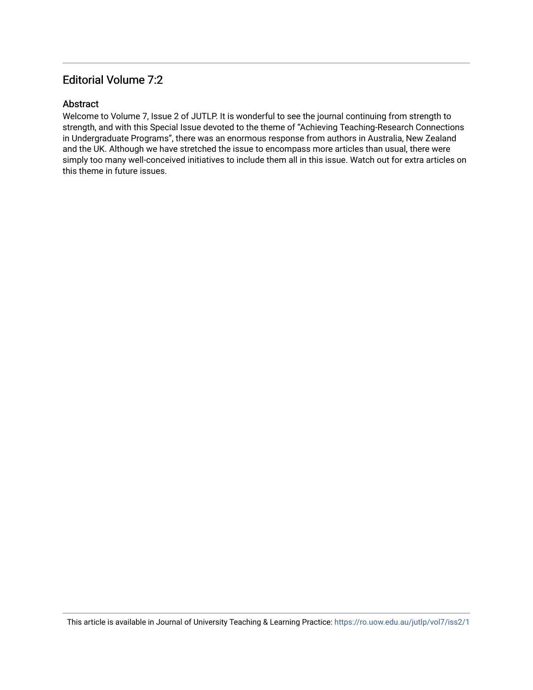### Editorial Volume 7:2

### Abstract

Welcome to Volume 7, Issue 2 of JUTLP. It is wonderful to see the journal continuing from strength to strength, and with this Special Issue devoted to the theme of "Achieving Teaching-Research Connections in Undergraduate Programs", there was an enormous response from authors in Australia, New Zealand and the UK. Although we have stretched the issue to encompass more articles than usual, there were simply too many well-conceived initiatives to include them all in this issue. Watch out for extra articles on this theme in future issues.

This article is available in Journal of University Teaching & Learning Practice:<https://ro.uow.edu.au/jutlp/vol7/iss2/1>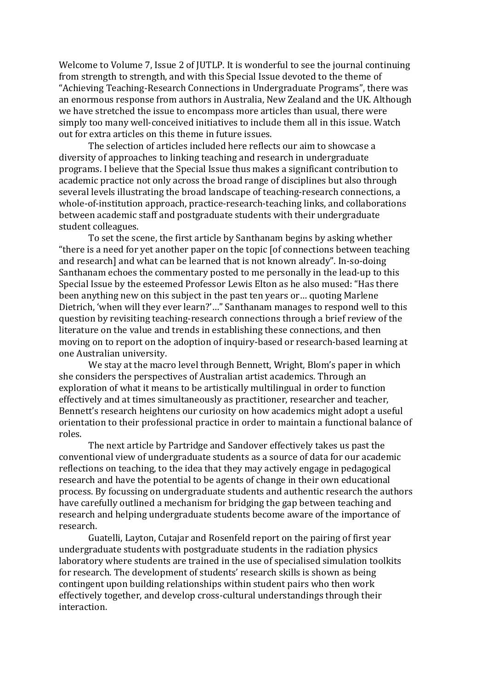Welcome to Volume 7, Issue 2 of JUTLP. It is wonderful to see the journal continuing from strength to strength, and with this Special Issue devoted to the theme of "Achieving Teaching-Research Connections in Undergraduate Programs", there was an enormous response from authors in Australia, New Zealand and the UK. Although we have stretched the issue to encompass more articles than usual, there were simply too many well-conceived initiatives to include them all in this issue. Watch out for extra articles on this theme in future issues.

The selection of articles included here reflects our aim to showcase a diversity of approaches to linking teaching and research in undergraduate programs. I believe that the Special Issue thus makes a significant contribution to academic practice not only across the broad range of disciplines but also through several levels illustrating the broad landscape of teaching-research connections, a whole-of-institution approach, practice-research-teaching links, and collaborations between academic staff and postgraduate students with their undergraduate student colleagues.

To set the scene, the first article by Santhanam begins by asking whether "there is a need for yet another paper on the topic [of connections between teaching and research] and what can be learned that is not known already". In-so-doing Santhanam echoes the commentary posted to me personally in the lead-up to this Special Issue by the esteemed Professor Lewis Elton as he also mused: "Has there been anything new on this subject in the past ten years or… quoting Marlene Dietrich, 'when will they ever learn?'…" Santhanam manages to respond well to this question by revisiting teaching-research connections through a brief review of the literature on the value and trends in establishing these connections, and then moving on to report on the adoption of inquiry-based or research-based learning at one Australian university.

We stay at the macro level through Bennett, Wright, Blom's paper in which she considers the perspectives of Australian artist academics. Through an exploration of what it means to be artistically multilingual in order to function effectively and at times simultaneously as practitioner, researcher and teacher, Bennett's research heightens our curiosity on how academics might adopt a useful orientation to their professional practice in order to maintain a functional balance of roles.

The next article by Partridge and Sandover effectively takes us past the conventional view of undergraduate students as a source of data for our academic reflections on teaching, to the idea that they may actively engage in pedagogical research and have the potential to be agents of change in their own educational process. By focussing on undergraduate students and authentic research the authors have carefully outlined a mechanism for bridging the gap between teaching and research and helping undergraduate students become aware of the importance of research.

Guatelli, Layton, Cutajar and Rosenfeld report on the pairing of first year undergraduate students with postgraduate students in the radiation physics laboratory where students are trained in the use of specialised simulation toolkits for research. The development of students' research skills is shown as being contingent upon building relationships within student pairs who then work effectively together, and develop cross-cultural understandings through their interaction.